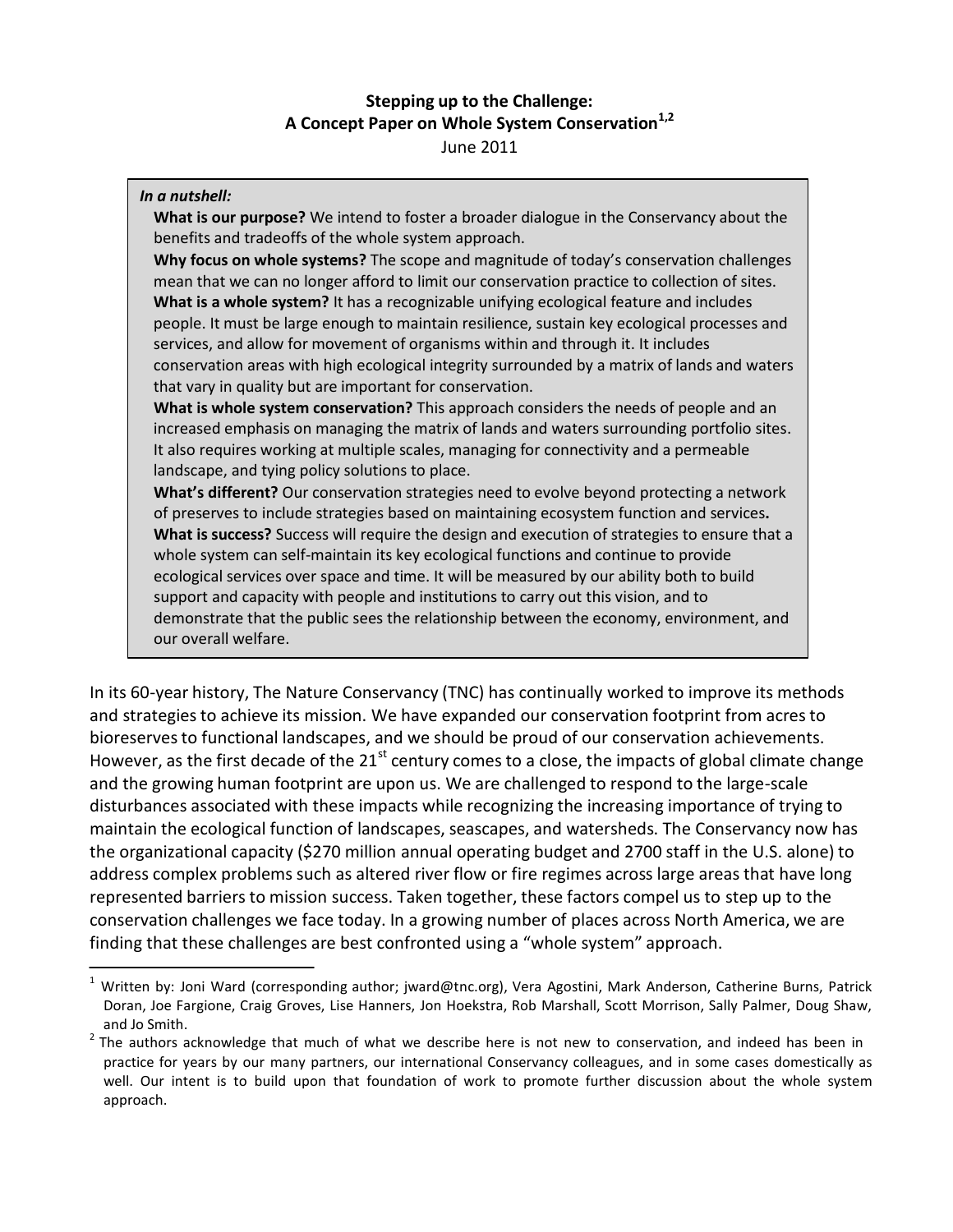# **Stepping up to the Challenge: A Concept Paper on Whole System Conservation1,2** June 2011

## *In a nutshell:* **What is our purpose?** We intend to foster a broader dialogue in the Conservancy about the benefits and tradeoffs of the whole system approach. **Why focus on whole systems?** The scope and magnitude of today's conservation challenges mean that we can no longer afford to limit our conservation practice to collection of sites. **What is a whole system?** It has a recognizable unifying ecological feature and includes people. It must be large enough to maintain resilience, sustain key ecological processes and services, and allow for movement of organisms within and through it. It includes conservation areas with high ecological integrity surrounded by a matrix of lands and waters that vary in quality but are important for conservation. **What is whole system conservation?** This approach considers the needs of people and an increased emphasis on managing the matrix of lands and waters surrounding portfolio sites. It also requires working at multiple scales, managing for connectivity and a permeable landscape, and tying policy solutions to place. **What's different?** Our conservation strategies need to evolve beyond protecting a network of preserves to include strategies based on maintaining ecosystem function and services**. What is success?** Success will require the design and execution of strategies to ensure that a whole system can self-maintain its key ecological functions and continue to provide ecological services over space and time. It will be measured by our ability both to build support and capacity with people and institutions to carry out this vision, and to demonstrate that the public sees the relationship between the economy, environment, and

our overall welfare.

In its 60-year history, The Nature Conservancy (TNC) has continually worked to improve its methods and strategies to achieve its mission. We have expanded our conservation footprint from acres to bioreservesto functional landscapes, and we should be proud of our conservation achievements. However, as the first decade of the  $21^{st}$  century comes to a close, the impacts of global climate change and the growing human footprint are upon us. We are challenged to respond to the large-scale disturbances associated with these impacts while recognizing the increasing importance of trying to maintain the ecological function of landscapes, seascapes, and watersheds. The Conservancy now has the organizational capacity (\$270 million annual operating budget and 2700 staff in the U.S. alone) to address complex problems such as altered river flow or fire regimes across large areas that have long represented barriers to mission success. Taken together, these factors compel us to step up to the conservation challenges we face today. In a growing number of places across North America, we are finding that these challenges are best confronted using a "whole system" approach.

<sup>&</sup>lt;sup>1</sup> Written by: Joni Ward (corresponding author; jward@tnc.org), Vera Agostini, Mark Anderson, Catherine Burns, Patrick Doran, Joe Fargione, Craig Groves, Lise Hanners, Jon Hoekstra, Rob Marshall, Scott Morrison, Sally Palmer, Doug Shaw, and Jo Smith.<br><sup>2</sup> The authors acknowledge that much of what we describe here is not new to conservation, and indeed has been in

practice for years by our many partners, our international Conservancy colleagues, and in some cases domestically as well. Our intent is to build upon that foundation of work to promote further discussion about the whole system approach.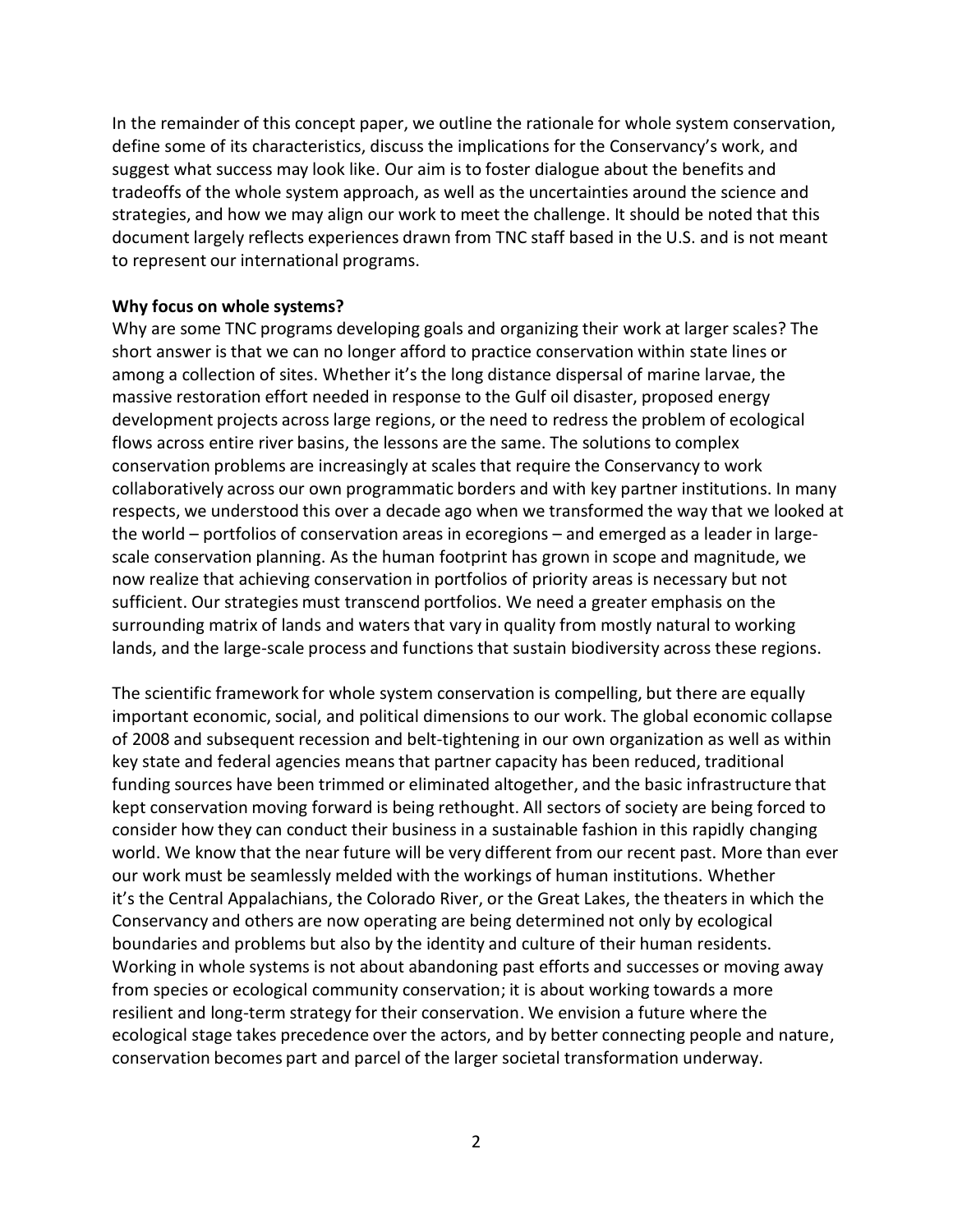In the remainder of this concept paper, we outline the rationale for whole system conservation, define some of its characteristics, discuss the implications for the Conservancy's work, and suggest what success may look like. Our aim is to foster dialogue about the benefits and tradeoffs of the whole system approach, as well as the uncertainties around the science and strategies, and how we may align our work to meet the challenge. It should be noted that this document largely reflects experiences drawn from TNC staff based in the U.S. and is not meant to represent our international programs.

## **Why focus on whole systems?**

Why are some TNC programs developing goals and organizing their work at larger scales? The short answer is that we can no longer afford to practice conservation within state lines or among a collection of sites. Whether it's the long distance dispersal of marine larvae, the massive restoration effort needed in response to the Gulf oil disaster, proposed energy development projects across large regions, or the need to redress the problem of ecological flows across entire river basins, the lessons are the same. The solutions to complex conservation problems are increasingly at scales that require the Conservancy to work collaboratively across our own programmatic borders and with key partner institutions. In many respects, we understood this over a decade ago when we transformed the way that we looked at the world – portfolios of conservation areas in ecoregions – and emerged as a leader in largescale conservation planning. As the human footprint has grown in scope and magnitude, we now realize that achieving conservation in portfolios of priority areas is necessary but not sufficient. Our strategies must transcend portfolios. We need a greater emphasis on the surrounding matrix of lands and waters that vary in quality from mostly natural to working lands, and the large-scale process and functions that sustain biodiversity across these regions.

The scientific framework for whole system conservation is compelling, but there are equally important economic, social, and political dimensions to our work. The global economic collapse of 2008 and subsequent recession and belt-tightening in our own organization as well as within key state and federal agencies means that partner capacity has been reduced, traditional funding sources have been trimmed or eliminated altogether, and the basic infrastructure that kept conservation moving forward is being rethought. All sectors of society are being forced to consider how they can conduct their business in a sustainable fashion in this rapidly changing world. We know that the near future will be very different from our recent past. More than ever our work must be seamlessly melded with the workings of human institutions. Whether it's the Central Appalachians, the Colorado River, or the Great Lakes, the theaters in which the Conservancy and others are now operating are being determined not only by ecological boundaries and problems but also by the identity and culture of their human residents. Working in whole systems is not about abandoning past efforts and successes or moving away from species or ecological community conservation; it is about working towards a more resilient and long-term strategy for their conservation. We envision a future where the ecological stage takes precedence over the actors, and by better connecting people and nature, conservation becomes part and parcel of the larger societal transformation underway.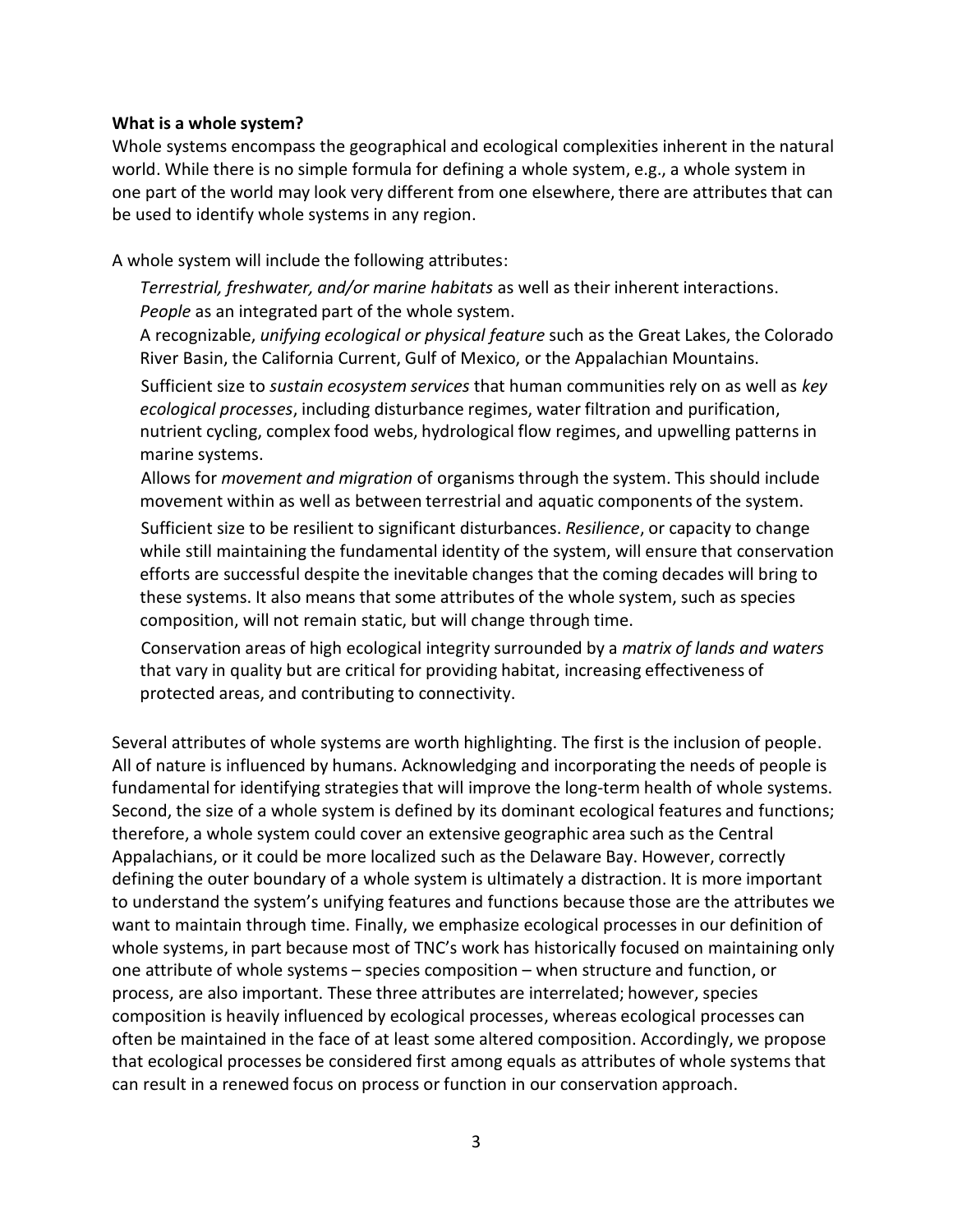## **What is a whole system?**

Whole systems encompass the geographical and ecological complexities inherent in the natural world. While there is no simple formula for defining a whole system, e.g., a whole system in one part of the world may look very different from one elsewhere, there are attributes that can be used to identify whole systems in any region.

A whole system will include the following attributes:

*Terrestrial, freshwater, and/or marine habitats* as well as their inherent interactions. *People* as an integrated part of the whole system.

A recognizable, *unifying ecological or physical feature* such as the Great Lakes, the Colorado River Basin, the California Current, Gulf of Mexico, or the Appalachian Mountains.

 Sufficient size to *sustain ecosystem services* that human communities rely on as well as *key ecological processes*, including disturbance regimes, water filtration and purification, nutrient cycling, complex food webs, hydrological flow regimes, and upwelling patterns in marine systems.

 Allows for *movement and migration* of organisms through the system. This should include movement within as well as between terrestrial and aquatic components of the system.

 Sufficient size to be resilient to significant disturbances. *Resilience*, or capacity to change while still maintaining the fundamental identity of the system, will ensure that conservation efforts are successful despite the inevitable changes that the coming decades will bring to these systems. It also means that some attributes of the whole system, such as species composition, will not remain static, but will change through time.

 Conservation areas of high ecological integrity surrounded by a *matrix of lands and waters*  that vary in quality but are critical for providing habitat, increasing effectiveness of protected areas, and contributing to connectivity.

Several attributes of whole systems are worth highlighting. The first is the inclusion of people. All of nature is influenced by humans. Acknowledging and incorporating the needs of people is fundamental for identifying strategiesthat will improve the long-term health of whole systems. Second, the size of a whole system is defined by its dominant ecological features and functions; therefore, a whole system could cover an extensive geographic area such as the Central Appalachians, or it could be more localized such as the Delaware Bay. However, correctly defining the outer boundary of a whole system is ultimately a distraction. It is more important to understand the system's unifying features and functions because those are the attributes we want to maintain through time. Finally, we emphasize ecological processes in our definition of whole systems, in part because most of TNC's work has historically focused on maintaining only one attribute of whole systems – species composition – when structure and function, or process, are also important. These three attributes are interrelated; however, species composition is heavily influenced by ecological processes, whereas ecological processes can often be maintained in the face of at least some altered composition. Accordingly, we propose that ecological processes be considered first among equals as attributes of whole systems that can result in a renewed focus on process or function in our conservation approach.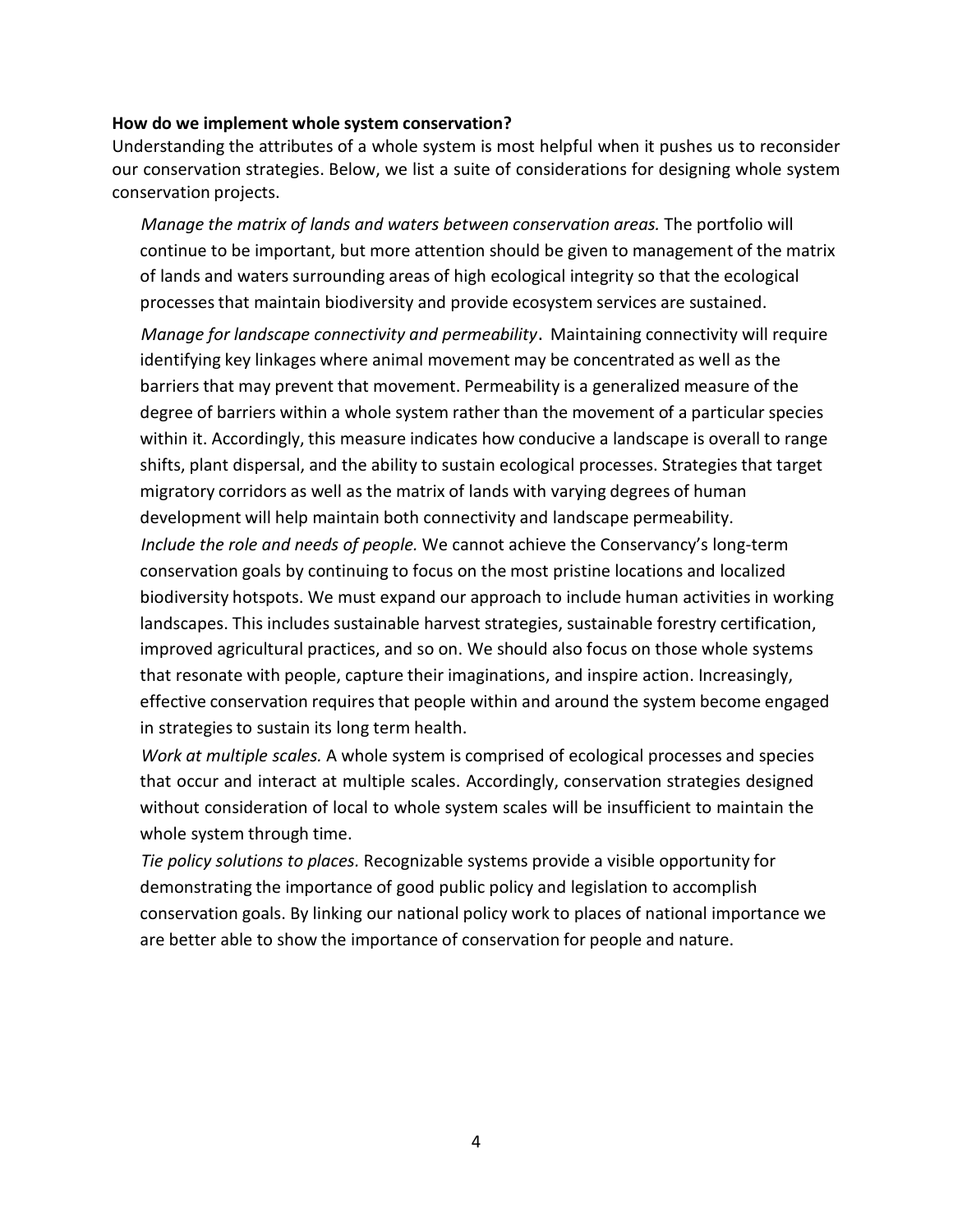#### **How do we implement whole system conservation?**

Understanding the attributes of a whole system is most helpful when it pushes us to reconsider our conservation strategies. Below, we list a suite of considerations for designing whole system conservation projects.

 *Manage the matrix of lands and waters between conservation areas.* The portfolio will continue to be important, but more attention should be given to management of the matrix of lands and waters surrounding areas of high ecological integrity so that the ecological processesthat maintain biodiversity and provide ecosystem services are sustained.

 *Manage for landscape connectivity and permeability*. Maintaining connectivity will require identifying key linkages where animal movement may be concentrated as well as the barriers that may prevent that movement. Permeability is a generalized measure of the degree of barriers within a whole system rather than the movement of a particular species within it. Accordingly, this measure indicates how conducive a landscape is overall to range shifts, plant dispersal, and the ability to sustain ecological processes. Strategies that target migratory corridors as well as the matrix of lands with varying degrees of human development will help maintain both connectivity and landscape permeability. *Include the role and needs of people.* We cannot achieve the Conservancy's long-term conservation goals by continuing to focus on the most pristine locations and localized biodiversity hotspots. We must expand our approach to include human activities in working landscapes. This includes sustainable harvest strategies, sustainable forestry certification, improved agricultural practices, and so on. We should also focus on those whole systems that resonate with people, capture their imaginations, and inspire action. Increasingly, effective conservation requires that people within and around the system become engaged in strategies to sustain its long term health.

 *Work at multiple scales.* A whole system is comprised of ecological processes and species that occur and interact at multiple scales. Accordingly, conservation strategies designed without consideration of local to whole system scales will be insufficient to maintain the whole system through time.

 *Tie policy solutions to places.* Recognizable systems provide a visible opportunity for demonstrating the importance of good public policy and legislation to accomplish conservation goals. By linking our national policy work to places of national importance we are better able to show the importance of conservation for people and nature.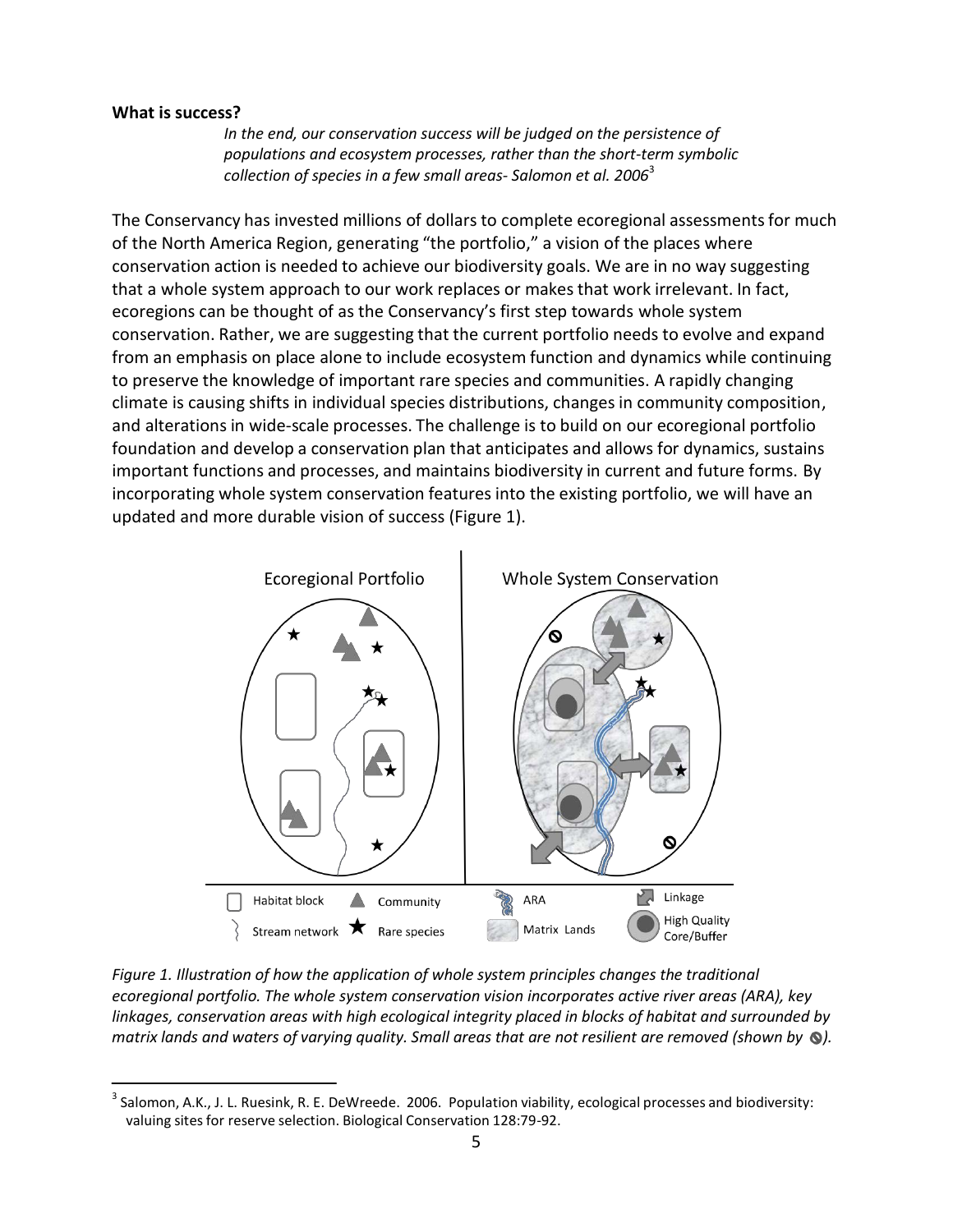## **What is success?**

*In the end, our conservation success will be judged on the persistence of populations and ecosystem processes, rather than the short-term symbolic collection of species in a few small areas- Salomon et al. 2006*<sup>3</sup>

The Conservancy has invested millions of dollars to complete ecoregional assessmentsfor much of the North America Region, generating "the portfolio," a vision of the places where conservation action is needed to achieve our biodiversity goals. We are in no way suggesting that a whole system approach to our work replaces or makes that work irrelevant. In fact, ecoregions can be thought of as the Conservancy's first step towards whole system conservation. Rather, we are suggesting that the current portfolio needs to evolve and expand from an emphasis on place alone to include ecosystem function and dynamics while continuing to preserve the knowledge of important rare species and communities. A rapidly changing climate is causing shifts in individual species distributions, changes in community composition, and alterations in wide-scale processes. The challenge is to build on our ecoregional portfolio foundation and develop a conservation plan that anticipates and allows for dynamics, sustains important functions and processes, and maintains biodiversity in current and future forms. By incorporating whole system conservation features into the existing portfolio, we will have an updated and more durable vision of success (Figure 1).



*Figure 1. Illustration of how the application of whole system principles changes the traditional ecoregional portfolio. The whole system conservation vision incorporates active river areas (ARA), key linkages, conservation areas with high ecological integrity placed in blocks of habitat and surrounded by matrix lands and waters of varying quality. Small areas that are not resilient are removed (shown by ).*

 $3$  Salomon, A.K., J. L. Ruesink, R. E. DeWreede. 2006. Population viability, ecological processes and biodiversity: valuing sites for reserve selection. Biological Conservation 128:79-92.